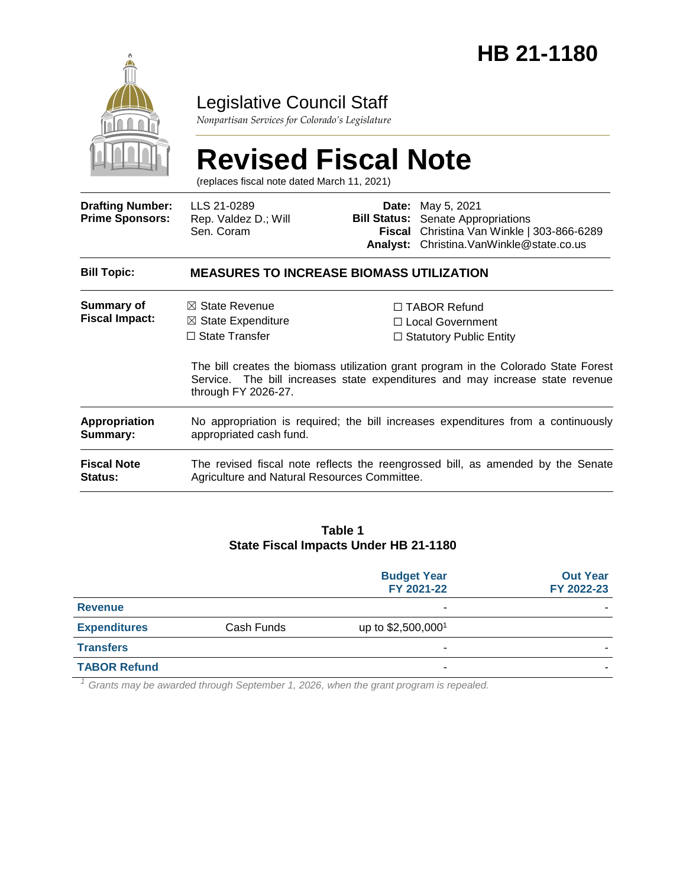

## Legislative Council Staff

*Nonpartisan Services for Colorado's Legislature*

#### **Revised Fiscal Note** (replaces fiscal note dated March 11, 2021) **Drafting Number: Prime Sponsors:** LLS 21-0289 Rep. Valdez D.; Will Sen. Coram **Date:** May 5, 2021 **Bill Status:** Senate Appropriations **Fiscal**  Christina Van Winkle | 303-866-6289 **Analyst:** Christina.VanWinkle@state.co.us **Bill Topic: MEASURES TO INCREASE BIOMASS UTILIZATION Summary of Fiscal Impact:** ☒ State Revenue ☒ State Expenditure ☐ State Transfer ☐ TABOR Refund ☐ Local Government ☐ Statutory Public Entity The bill creates the biomass utilization grant program in the Colorado State Forest Service. The bill increases state expenditures and may increase state revenue through FY 2026-27. **Appropriation Summary:** No appropriation is required; the bill increases expenditures from a continuously appropriated cash fund. **Fiscal Note Status:** The revised fiscal note reflects the reengrossed bill, as amended by the Senate Agriculture and Natural Resources Committee.

#### **Table 1 State Fiscal Impacts Under HB 21-1180**

|                     |            | <b>Budget Year</b><br>FY 2021-22 | <b>Out Year</b><br>FY 2022-23 |
|---------------------|------------|----------------------------------|-------------------------------|
| <b>Revenue</b>      |            | ٠                                |                               |
| <b>Expenditures</b> | Cash Funds | up to \$2,500,000 <sup>1</sup>   |                               |
| <b>Transfers</b>    |            | ۰                                |                               |
| <b>TABOR Refund</b> |            | ٠                                |                               |

*<sup>1</sup> Grants may be awarded through September 1, 2026, when the grant program is repealed.*